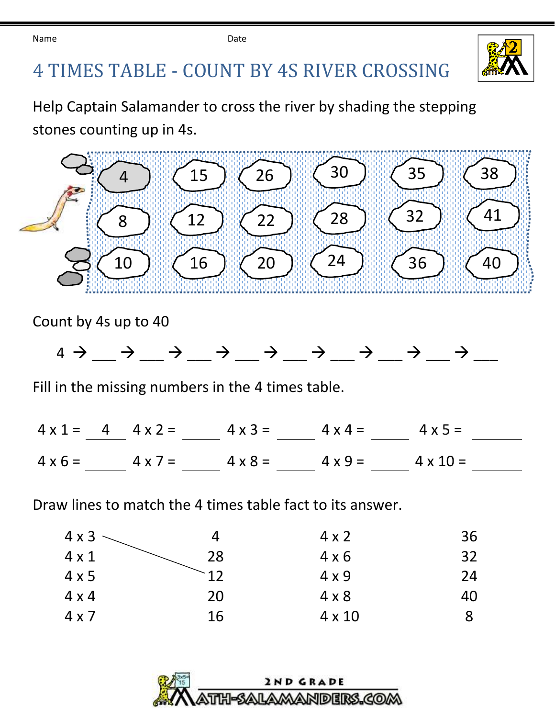Name **Date Date** 



## TIMES TABLE - COUNT BY 4S RIVER CROSSING

Help Captain Salamander to cross the river by shading the stepping stones counting up in 4s.



| $4 \times 1$ | 28 | $4 \times 6$  | 32 |
|--------------|----|---------------|----|
| $4 \times 5$ |    | $4 \times 9$  | 24 |
| $4 \times 4$ | 20 | $4 \times 8$  | 40 |
| $4 \times 7$ | 16 | $4 \times 10$ | 8  |
|              |    |               |    |
|              |    |               |    |